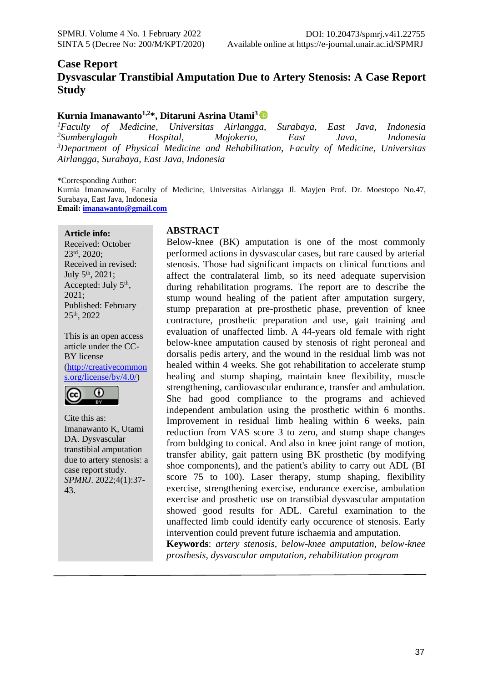## **Case Report Dysvascular Transtibial Amputation Due to Artery Stenosis: A Case Report Study**

#### **Kurnia Imanawanto1,2\*, Ditaruni Asrina Utami<sup>3</sup>**

*Faculty of Medicine, Universitas Airlangga, Surabaya, East Java, Indonesia Sumberglagah Hospital, Mojokerto, East Java, Indonesia Department of Physical Medicine and Rehabilitation, Faculty of Medicine, Universitas Airlangga, Surabaya, East Java, Indonesia*

\*Corresponding Author:

Kurnia Imanawanto, Faculty of Medicine, Universitas Airlangga Jl. Mayjen Prof. Dr. Moestopo No.47, Surabaya, East Java, Indonesia

**Email: [imanawanto@gmail.com](mailto:imanawanto@gmail.com)**

**Article info:** Received: October 23rd, 2020; Received in revised: July  $5^{\text{th}}$ , 2021; Accepted: July  $5<sup>th</sup>$ , 2021; Published: February 25th, 2022

This is an open access article under the CC-BY license [\(http://creativecommon](http://creativecommons.org/license/by/4.0/) [s.org/license/by/4.0/\)](http://creativecommons.org/license/by/4.0/)



Cite this as: Imanawanto K, Utami DA. Dysvascular transtibial amputation due to artery stenosis: a case report study. *SPMRJ*. 2022;4(1):37- 43.

#### **ABSTRACT**

Below-knee (BK) amputation is one of the most commonly performed actions in dysvascular cases, but rare caused by arterial stenosis. Those had significant impacts on clinical functions and affect the contralateral limb, so its need adequate supervision during rehabilitation programs. The report are to describe the stump wound healing of the patient after amputation surgery, stump preparation at pre-prosthetic phase, prevention of knee contracture, prosthetic preparation and use, gait training and evaluation of unaffected limb. A 44-years old female with right below-knee amputation caused by stenosis of right peroneal and dorsalis pedis artery, and the wound in the residual limb was not healed within 4 weeks. She got rehabilitation to accelerate stump healing and stump shaping, maintain knee flexibility, muscle strengthening, cardiovascular endurance, transfer and ambulation. She had good compliance to the programs and achieved independent ambulation using the prosthetic within 6 months. Improvement in residual limb healing within 6 weeks, pain reduction from VAS score 3 to zero, and stump shape changes from buldging to conical. And also in knee joint range of motion, transfer ability, gait pattern using BK prosthetic (by modifying shoe components), and the patient's ability to carry out ADL (BI score 75 to 100). Laser therapy, stump shaping, flexibility exercise, strengthening exercise, endurance exercise, ambulation exercise and prosthetic use on transtibial dysvascular amputation showed good results for ADL. Careful examination to the unaffected limb could identify early occurence of stenosis. Early intervention could prevent future ischaemia and amputation.

**Keywords**: *artery stenosis, below-knee amputation, below-knee prosthesis, dysvascular amputation, rehabilitation program*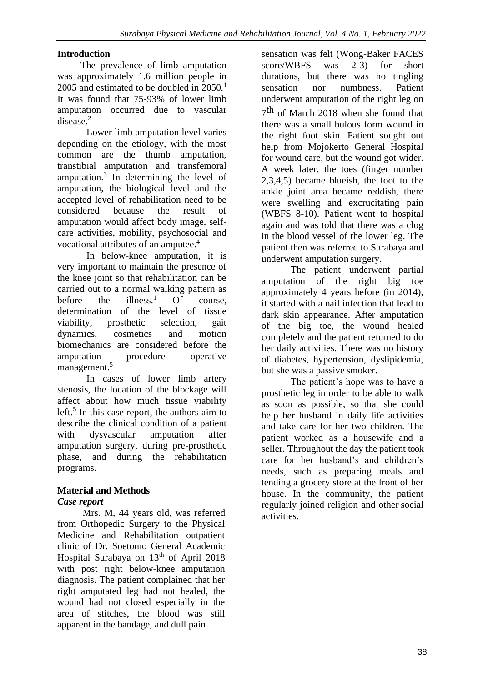### **Introduction**

The prevalence of limb amputation was approximately 1.6 million people in 2005 and estimated to be doubled in  $2050<sup>1</sup>$ It was found that 75-93% of lower limb amputation occurred due to vascular disease.<sup>2</sup>

Lower limb amputation level varies depending on the etiology, with the most common are the thumb amputation, transtibial amputation and transfemoral amputation.<sup>3</sup> In determining the level of amputation, the biological level and the accepted level of rehabilitation need to be considered because the result of amputation would affect body image, selfcare activities, mobility, psychosocial and vocational attributes of an amputee.<sup>4</sup>

In below-knee amputation, it is very important to maintain the presence of the knee joint so that rehabilitation can be carried out to a normal walking pattern as before the  $\text{ilness}^1$  Of course, determination of the level of tissue viability, prosthetic selection, gait dynamics, cosmetics and motion biomechanics are considered before the amputation procedure operative management.<sup>5</sup>

In cases of lower limb artery stenosis, the location of the blockage will affect about how much tissue viability left.<sup>5</sup> In this case report, the authors aim to describe the clinical condition of a patient with dysvascular amputation after amputation surgery, during pre-prosthetic phase, and during the rehabilitation programs.

# **Material and Methods**

## *Case report*

Mrs. M, 44 years old, was referred from Orthopedic Surgery to the Physical Medicine and Rehabilitation outpatient clinic of Dr. Soetomo General Academic Hospital Surabaya on  $13<sup>th</sup>$  of April 2018 with post right below-knee amputation diagnosis. The patient complained that her right amputated leg had not healed, the wound had not closed especially in the area of stitches, the blood was still apparent in the bandage, and dull pain

sensation was felt (Wong-Baker FACES score/WBFS was 2-3) for short durations, but there was no tingling sensation nor numbness. Patient underwent amputation of the right leg on 7 th of March 2018 when she found that there was a small bulous form wound in the right foot skin. Patient sought out help from Mojokerto General Hospital for wound care, but the wound got wider. A week later, the toes (finger number 2,3,4,5) became blueish, the foot to the ankle joint area became reddish, there were swelling and excrucitating pain (WBFS 8-10). Patient went to hospital again and was told that there was a clog in the blood vessel of the lower leg. The patient then was referred to Surabaya and underwent amputation surgery.

The patient underwent partial amputation of the right big toe approximately 4 years before (in 2014), it started with a nail infection that lead to dark skin appearance. After amputation of the big toe, the wound healed completely and the patient returned to do her daily activities. There was no history of diabetes, hypertension, dyslipidemia, but she was a passive smoker.

The patient's hope was to have a prosthetic leg in order to be able to walk as soon as possible, so that she could help her husband in daily life activities and take care for her two children. The patient worked as a housewife and a seller. Throughout the day the patient took care for her husband's and children's needs, such as preparing meals and tending a grocery store at the front of her house. In the community, the patient regularly joined religion and other social activities.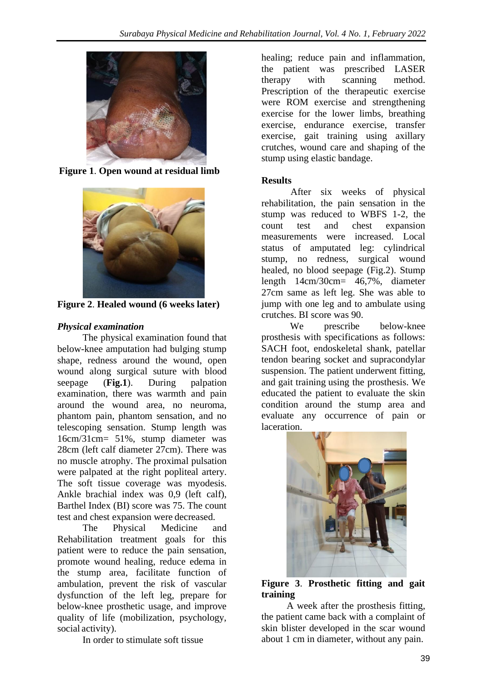

**Figure 1**. **Open wound at residual limb**



**Figure 2**. **Healed wound (6 weeks later)**

# *Physical examination*

The physical examination found that below-knee amputation had bulging stump shape, redness around the wound, open wound along surgical suture with blood seepage (**Fig.1**). During palpation examination, there was warmth and pain around the wound area, no neuroma, phantom pain, phantom sensation, and no telescoping sensation. Stump length was 16cm/31cm= 51%, stump diameter was 28cm (left calf diameter 27cm). There was no muscle atrophy. The proximal pulsation were palpated at the right popliteal artery. The soft tissue coverage was myodesis. Ankle brachial index was 0,9 (left calf), Barthel Index (BI) score was 75. The count test and chest expansion were decreased.

The Physical Medicine and Rehabilitation treatment goals for this patient were to reduce the pain sensation, promote wound healing, reduce edema in the stump area, facilitate function of ambulation, prevent the risk of vascular dysfunction of the left leg, prepare for below-knee prosthetic usage, and improve quality of life (mobilization, psychology, social activity).

In order to stimulate soft tissue

healing; reduce pain and inflammation, the patient was prescribed LASER therapy with scanning method. Prescription of the therapeutic exercise were ROM exercise and strengthening exercise for the lower limbs, breathing exercise, endurance exercise, transfer exercise, gait training using axillary crutches, wound care and shaping of the stump using elastic bandage.

## **Results**

After six weeks of physical rehabilitation, the pain sensation in the stump was reduced to WBFS 1-2, the count test and chest expansion measurements were increased. Local status of amputated leg: cylindrical stump, no redness, surgical wound healed, no blood seepage (Fig.2). Stump length 14cm/30cm= 46,7%, diameter 27cm same as left leg. She was able to jump with one leg and to ambulate using crutches. BI score was 90.

We prescribe below-knee prosthesis with specifications as follows: SACH foot, endoskeletal shank, patellar tendon bearing socket and supracondylar suspension. The patient underwent fitting, and gait training using the prosthesis. We educated the patient to evaluate the skin condition around the stump area and evaluate any occurrence of pain or laceration.



#### **Figure 3**. **Prosthetic fitting and gait training**

A week after the prosthesis fitting, the patient came back with a complaint of skin blister developed in the scar wound about 1 cm in diameter, without any pain.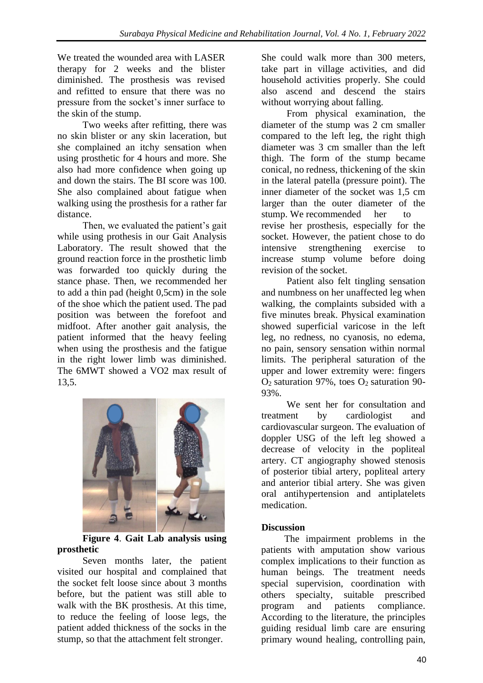We treated the wounded area with LASER therapy for 2 weeks and the blister diminished. The prosthesis was revised and refitted to ensure that there was no pressure from the socket's inner surface to the skin of the stump.

Two weeks after refitting, there was no skin blister or any skin laceration, but she complained an itchy sensation when using prosthetic for 4 hours and more. She also had more confidence when going up and down the stairs. The BI score was 100. She also complained about fatigue when walking using the prosthesis for a rather far distance.

Then, we evaluated the patient's gait while using prothesis in our Gait Analysis Laboratory. The result showed that the ground reaction force in the prosthetic limb was forwarded too quickly during the stance phase. Then, we recommended her to add a thin pad (height 0,5cm) in the sole of the shoe which the patient used. The pad position was between the forefoot and midfoot. After another gait analysis, the patient informed that the heavy feeling when using the prosthesis and the fatigue in the right lower limb was diminished. The 6MWT showed a VO2 max result of 13,5.



**Figure 4**. **Gait Lab analysis using prosthetic**

Seven months later, the patient visited our hospital and complained that the socket felt loose since about 3 months before, but the patient was still able to walk with the BK prosthesis. At this time, to reduce the feeling of loose legs, the patient added thickness of the socks in the stump, so that the attachment felt stronger.

She could walk more than 300 meters, take part in village activities, and did household activities properly. She could also ascend and descend the stairs without worrying about falling.

From physical examination, the diameter of the stump was 2 cm smaller compared to the left leg, the right thigh diameter was 3 cm smaller than the left thigh. The form of the stump became conical, no redness, thickening of the skin in the lateral patella (pressure point). The inner diameter of the socket was 1,5 cm larger than the outer diameter of the stump. We recommended her to revise her prosthesis, especially for the socket. However, the patient chose to do intensive strengthening exercise to increase stump volume before doing revision of the socket.

Patient also felt tingling sensation and numbness on her unaffected leg when walking, the complaints subsided with a five minutes break. Physical examination showed superficial varicose in the left leg, no redness, no cyanosis, no edema, no pain, sensory sensation within normal limits. The peripheral saturation of the upper and lower extremity were: fingers  $O<sub>2</sub>$  saturation 97%, toes  $O<sub>2</sub>$  saturation 90-93%.

We sent her for consultation and treatment by cardiologist and cardiovascular surgeon. The evaluation of doppler USG of the left leg showed a decrease of velocity in the popliteal artery. CT angiography showed stenosis of posterior tibial artery, popliteal artery and anterior tibial artery. She was given oral antihypertension and antiplatelets medication.

## **Discussion**

The impairment problems in the patients with amputation show various complex implications to their function as human beings. The treatment needs special supervision, coordination with others specialty, suitable prescribed program and patients compliance. According to the literature, the principles guiding residual limb care are ensuring primary wound healing, controlling pain,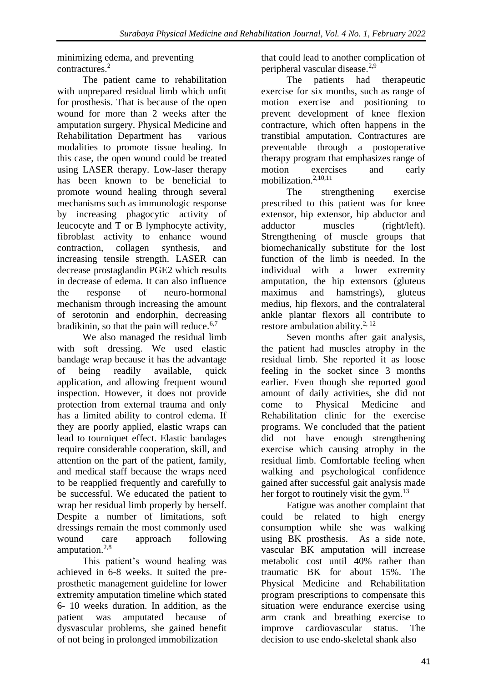minimizing edema, and preventing contractures.<sup>2</sup>

The patient came to rehabilitation with unprepared residual limb which unfit for prosthesis. That is because of the open wound for more than 2 weeks after the amputation surgery. Physical Medicine and Rehabilitation Department has various modalities to promote tissue healing. In this case, the open wound could be treated using LASER therapy. Low-laser therapy has been known to be beneficial to promote wound healing through several mechanisms such as immunologic response by increasing phagocytic activity of leucocyte and T or B lymphocyte activity, fibroblast activity to enhance wound contraction, collagen synthesis, and increasing tensile strength. LASER can decrease prostaglandin PGE2 which results in decrease of edema. It can also influence the response of neuro-hormonal mechanism through increasing the amount of serotonin and endorphin, decreasing bradikinin, so that the pain will reduce.<sup>6,7</sup>

We also managed the residual limb with soft dressing. We used elastic bandage wrap because it has the advantage of being readily available, quick application, and allowing frequent wound inspection. However, it does not provide protection from external trauma and only has a limited ability to control edema. If they are poorly applied, elastic wraps can lead to tourniquet effect. Elastic bandages require considerable cooperation, skill, and attention on the part of the patient, family, and medical staff because the wraps need to be reapplied frequently and carefully to be successful. We educated the patient to wrap her residual limb properly by herself. Despite a number of limitations, soft dressings remain the most commonly used wound care approach following amputation.<sup>2,8</sup>

This patient's wound healing was achieved in 6-8 weeks. It suited the preprosthetic management guideline for lower extremity amputation timeline which stated 6- 10 weeks duration. In addition, as the patient was amputated because of dysvascular problems, she gained benefit of not being in prolonged immobilization

that could lead to another complication of peripheral vascular disease.2,9

The patients had therapeutic exercise for six months, such as range of motion exercise and positioning to prevent development of knee flexion contracture, which often happens in the transtibial amputation. Contractures are preventable through a postoperative therapy program that emphasizes range of motion exercises and early mobilization.<sup>2,10,11</sup>

The strengthening exercise prescribed to this patient was for knee extensor, hip extensor, hip abductor and adductor muscles (right/left). Strengthening of muscle groups that biomechanically substitute for the lost function of the limb is needed. In the individual with a lower extremity amputation, the hip extensors (gluteus maximus and hamstrings), gluteus medius, hip flexors, and the contralateral ankle plantar flexors all contribute to restore ambulation ability.<sup>2, 12</sup>

Seven months after gait analysis, the patient had muscles atrophy in the residual limb. She reported it as loose feeling in the socket since 3 months earlier. Even though she reported good amount of daily activities, she did not come to Physical Medicine and Rehabilitation clinic for the exercise programs. We concluded that the patient did not have enough strengthening exercise which causing atrophy in the residual limb. Comfortable feeling when walking and psychological confidence gained after successful gait analysis made her forgot to routinely visit the gym. $^{13}$ 

Fatigue was another complaint that could be related to high energy consumption while she was walking using BK prosthesis. As a side note, vascular BK amputation will increase metabolic cost until 40% rather than traumatic BK for about 15%. The Physical Medicine and Rehabilitation program prescriptions to compensate this situation were endurance exercise using arm crank and breathing exercise to improve cardiovascular status. The decision to use endo-skeletal shank also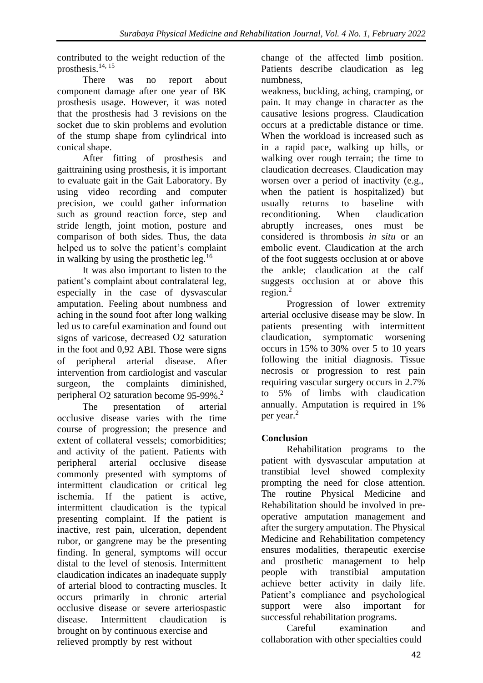contributed to the weight reduction of the prosthesis.14, 15

There was no report about component damage after one year of BK prosthesis usage. However, it was noted that the prosthesis had 3 revisions on the socket due to skin problems and evolution of the stump shape from cylindrical into conical shape.

After fitting of prosthesis and gaittraining using prosthesis, it is important to evaluate gait in the Gait Laboratory. By using video recording and computer precision, we could gather information such as ground reaction force, step and stride length, joint motion, posture and comparison of both sides. Thus, the data helped us to solve the patient's complaint in walking by using the prosthetic leg.<sup>16</sup>

It was also important to listen to the patient's complaint about contralateral leg, especially in the case of dysvascular amputation. Feeling about numbness and aching in the sound foot after long walking led us to careful examination and found out signs of varicose, decreased O2 saturation in the foot and 0,92 ABI. Those were signs of peripheral arterial disease. After intervention from cardiologist and vascular surgeon, the complaints diminished, peripheral O2 saturation become 95-99%.<sup>2</sup>

The presentation of arterial occlusive disease varies with the time course of progression; the presence and extent of collateral vessels; comorbidities; and activity of the patient. Patients with peripheral arterial occlusive disease commonly presented with symptoms of intermittent claudication or critical leg ischemia. If the patient is active, intermittent claudication is the typical presenting complaint. If the patient is inactive, rest pain, ulceration, dependent rubor, or gangrene may be the presenting finding. In general, symptoms will occur distal to the level of stenosis. Intermittent claudication indicates an inadequate supply of arterial blood to contracting muscles. It occurs primarily in chronic arterial occlusive disease or severe arteriospastic disease. Intermittent claudication is brought on by continuous exercise and relieved promptly by rest without

change of the affected limb position. Patients describe claudication as leg numbness,

weakness, buckling, aching, cramping, or pain. It may change in character as the causative lesions progress. Claudication occurs at a predictable distance or time. When the workload is increased such as in a rapid pace, walking up hills, or walking over rough terrain; the time to claudication decreases. Claudication may worsen over a period of inactivity (e.g., when the patient is hospitalized) but usually returns to baseline with reconditioning. When claudication abruptly increases, ones must be considered is thrombosis *in situ* or an embolic event. Claudication at the arch of the foot suggests occlusion at or above the ankle; claudication at the calf suggests occlusion at or above this region. $2$ 

Progression of lower extremity arterial occlusive disease may be slow. In patients presenting with intermittent claudication, symptomatic worsening occurs in 15% to 30% over 5 to 10 years following the initial diagnosis. Tissue necrosis or progression to rest pain requiring vascular surgery occurs in 2.7% to 5% of limbs with claudication annually. Amputation is required in 1% per year.<sup>2</sup>

# **Conclusion**

Rehabilitation programs to the patient with dysvascular amputation at transtibial level showed complexity prompting the need for close attention. The routine Physical Medicine and Rehabilitation should be involved in preoperative amputation management and after the surgery amputation. The Physical Medicine and Rehabilitation competency ensures modalities, therapeutic exercise and prosthetic management to help people with transtibial amputation achieve better activity in daily life. Patient's compliance and psychological support were also important for successful rehabilitation programs.

Careful examination and collaboration with other specialties could